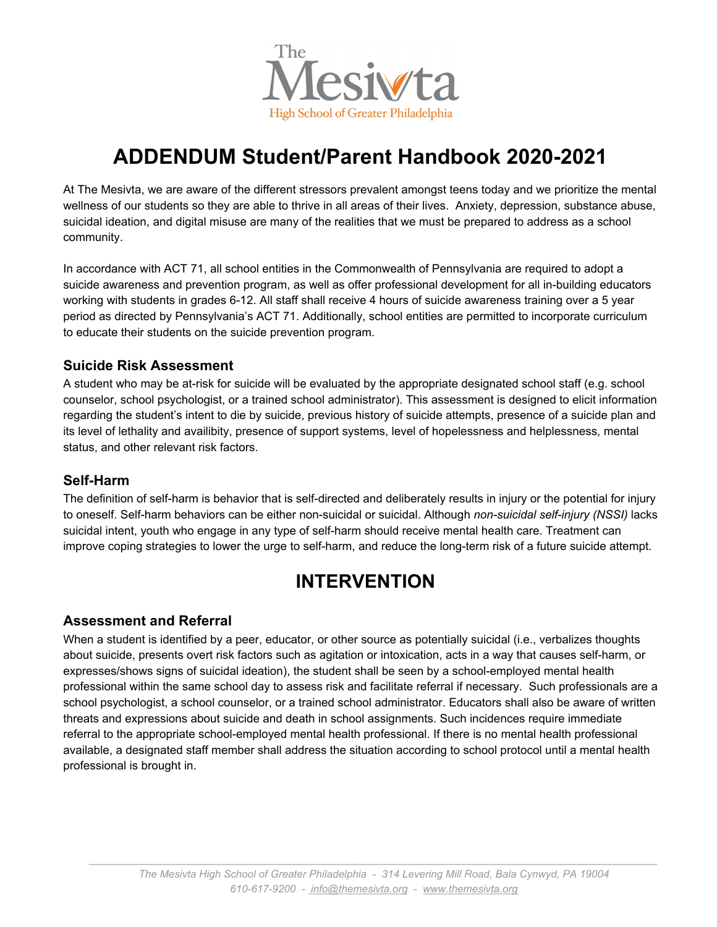

# **ADDENDUM Student/Parent Handbook 2020-2021**

At The Mesivta, we are aware of the different stressors prevalent amongst teens today and we prioritize the mental wellness of our students so they are able to thrive in all areas of their lives. Anxiety, depression, substance abuse, suicidal ideation, and digital misuse are many of the realities that we must be prepared to address as a school community.

In accordance with ACT 71, all school entities in the Commonwealth of Pennsylvania are required to adopt a suicide awareness and prevention program, as well as offer professional development for all in-building educators working with students in grades 6-12. All staff shall receive 4 hours of suicide awareness training over a 5 year period as directed by Pennsylvania's ACT 71. Additionally, school entities are permitted to incorporate curriculum to educate their students on the suicide prevention program.

#### **Suicide Risk Assessment**

A student who may be at-risk for suicide will be evaluated by the appropriate designated school staff (e.g. school counselor, school psychologist, or a trained school administrator). This assessment is designed to elicit information regarding the student's intent to die by suicide, previous history of suicide attempts, presence of a suicide plan and its level of lethality and availibity, presence of support systems, level of hopelessness and helplessness, mental status, and other relevant risk factors.

#### **Self-Harm**

The definition of self-harm is behavior that is self-directed and deliberately results in injury or the potential for injury to oneself. Self-harm behaviors can be either non-suicidal or suicidal. Although *non-suicidal self-injury (NSSI)* lacks suicidal intent, youth who engage in any type of self-harm should receive mental health care. Treatment can improve coping strategies to lower the urge to self-harm, and reduce the long-term risk of a future suicide attempt.

# **INTERVENTION**

#### **Assessment and Referral**

When a student is identified by a peer, educator, or other source as potentially suicidal (i.e., verbalizes thoughts about suicide, presents overt risk factors such as agitation or intoxication, acts in a way that causes self-harm, or expresses/shows signs of suicidal ideation), the student shall be seen by a school-employed mental health professional within the same school day to assess risk and facilitate referral if necessary. Such professionals are a school psychologist, a school counselor, or a trained school administrator. Educators shall also be aware of written threats and expressions about suicide and death in school assignments. Such incidences require immediate referral to the appropriate school-employed mental health professional. If there is no mental health professional available, a designated staff member shall address the situation according to school protocol until a mental health professional is brought in.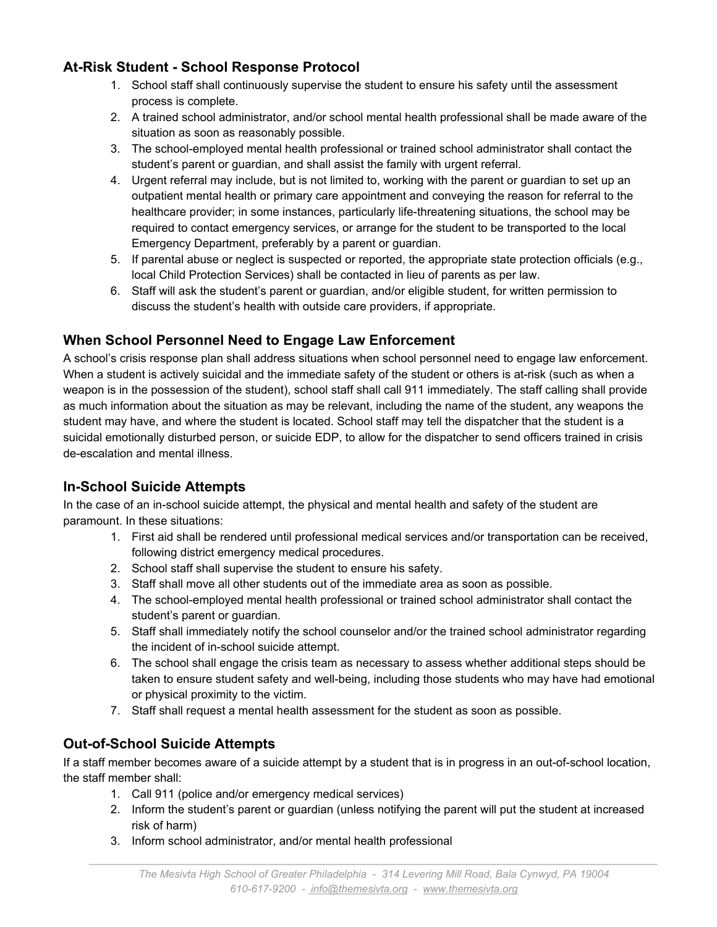### **At-Risk Student - School Response Protocol**

- 1. School staff shall continuously supervise the student to ensure his safety until the assessment process is complete.
- 2. A trained school administrator, and/or school mental health professional shall be made aware of the situation as soon as reasonably possible.
- 3. The school-employed mental health professional or trained school administrator shall contact the student's parent or guardian, and shall assist the family with urgent referral.
- 4. Urgent referral may include, but is not limited to, working with the parent or guardian to set up an outpatient mental health or primary care appointment and conveying the reason for referral to the healthcare provider; in some instances, particularly life-threatening situations, the school may be required to contact emergency services, or arrange for the student to be transported to the local Emergency Department, preferably by a parent or guardian.
- 5. If parental abuse or neglect is suspected or reported, the appropriate state protection officials (e.g., local Child Protection Services) shall be contacted in lieu of parents as per law.
- 6. Staff will ask the student's parent or guardian, and/or eligible student, for written permission to discuss the student's health with outside care providers, if appropriate.

# **When School Personnel Need to Engage Law Enforcement**

A school's crisis response plan shall address situations when school personnel need to engage law enforcement. When a student is actively suicidal and the immediate safety of the student or others is at-risk (such as when a weapon is in the possession of the student), school staff shall call 911 immediately. The staff calling shall provide as much information about the situation as may be relevant, including the name of the student, any weapons the student may have, and where the student is located. School staff may tell the dispatcher that the student is a suicidal emotionally disturbed person, or suicide EDP, to allow for the dispatcher to send officers trained in crisis de-escalation and mental illness.

#### **In-School Suicide Attempts**

In the case of an in-school suicide attempt, the physical and mental health and safety of the student are paramount. In these situations:

- 1. First aid shall be rendered until professional medical services and/or transportation can be received, following district emergency medical procedures.
- 2. School staff shall supervise the student to ensure his safety.
- 3. Staff shall move all other students out of the immediate area as soon as possible.
- 4. The school-employed mental health professional or trained school administrator shall contact the student's parent or guardian.
- 5. Staff shall immediately notify the school counselor and/or the trained school administrator regarding the incident of in-school suicide attempt.
- 6. The school shall engage the crisis team as necessary to assess whether additional steps should be taken to ensure student safety and well-being, including those students who may have had emotional or physical proximity to the victim.
- 7. Staff shall request a mental health assessment for the student as soon as possible.

# **Out-of-School Suicide Attempts**

If a staff member becomes aware of a suicide attempt by a student that is in progress in an out-of-school location, the staff member shall:

- 1. Call 911 (police and/or emergency medical services)
- 2. Inform the student's parent or guardian (unless notifying the parent will put the student at increased risk of harm)
- 3. Inform school administrator, and/or mental health professional